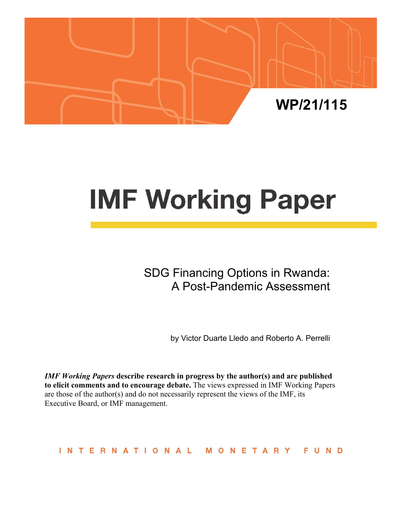

# **IMF Working Paper**

SDG Financing Options in Rwanda: A Post-Pandemic Assessment

by Victor Duarte Lledo and Roberto A. Perrelli

*IMF Working Papers* **describe research in progress by the author(s) and are published to elicit comments and to encourage debate.** The views expressed in IMF Working Papers are those of the author(s) and do not necessarily represent the views of the IMF, its Executive Board, or IMF management.

INTERNATIONAL MONETARY FUND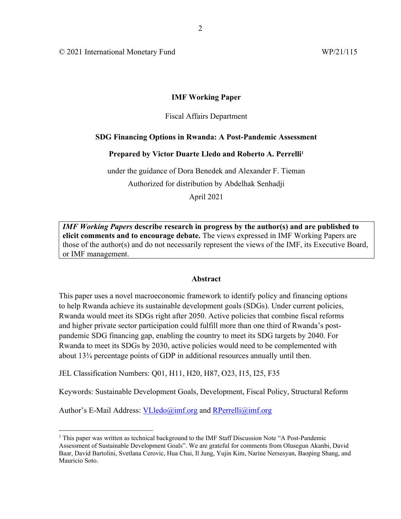© 2021 International Monetary Fund WP/21/115

## **IMF Working Paper**

## Fiscal Affairs Department

## **SDG Financing Options in Rwanda: A Post-Pandemic Assessment**

## Prepared by Victor Duarte Lledo and Roberto A. Perrelli<sup>1</sup>

under the guidance of Dora Benedek and Alexander F. Tieman Authorized for distribution by Abdelhak Senhadji

April 2021

*IMF Working Papers* **describe research in progress by the author(s) and are published to elicit comments and to encourage debate.** The views expressed in IMF Working Papers are those of the author(s) and do not necessarily represent the views of the IMF, its Executive Board, or IMF management.

## **Abstract**

This paper uses a novel macroeconomic framework to identify policy and financing options to help Rwanda achieve its sustainable development goals (SDGs). Under current policies, Rwanda would meet its SDGs right after 2050. Active policies that combine fiscal reforms and higher private sector participation could fulfill more than one third of Rwanda's postpandemic SDG financing gap, enabling the country to meet its SDG targets by 2040. For Rwanda to meet its SDGs by 2030, active policies would need to be complemented with about 13¾ percentage points of GDP in additional resources annually until then.

JEL Classification Numbers: Q01, H11, H20, H87, O23, I15, I25, F35

Keywords: Sustainable Development Goals, Development, Fiscal Policy, Structural Reform

Author's E-Mail Address: VLledo@imf.org and RPerrelli@imf.org

<sup>&</sup>lt;sup>1</sup> This paper was written as technical background to the IMF Staff Discussion Note "A Post-Pandemic Assessment of Sustainable Development Goals". We are grateful for comments from Olusegun Akanbi, David Baar, David Bartolini, Svetlana Cerovic, Hua Chai, Il Jung, Yujin Kim, Narine Nersesyan, Baoping Shang, and Mauricio Soto.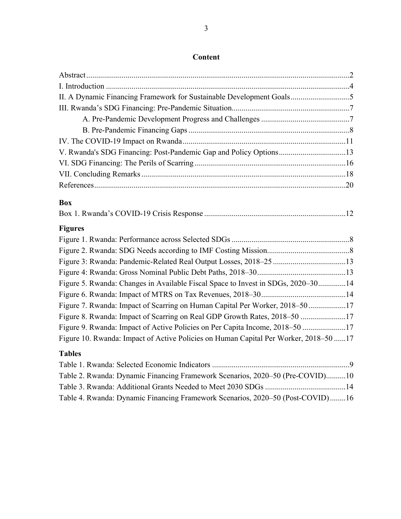| II. A Dynamic Financing Framework for Sustainable Development Goals5                 |
|--------------------------------------------------------------------------------------|
|                                                                                      |
|                                                                                      |
|                                                                                      |
|                                                                                      |
| V. Rwanda's SDG Financing: Post-Pandemic Gap and Policy Options13                    |
|                                                                                      |
|                                                                                      |
|                                                                                      |
| <b>Box</b>                                                                           |
|                                                                                      |
| <b>Figures</b>                                                                       |
|                                                                                      |
|                                                                                      |
|                                                                                      |
|                                                                                      |
| Figure 5. Rwanda: Changes in Available Fiscal Space to Invest in SDGs, 2020-3014     |
|                                                                                      |
| Figure 7. Rwanda: Impact of Scarring on Human Capital Per Worker, 2018-5017          |
| Figure 8. Rwanda: Impact of Scarring on Real GDP Growth Rates, 2018-50 17            |
| Figure 9. Rwanda: Impact of Active Policies on Per Capita Income, 2018-50 17         |
| Figure 10. Rwanda: Impact of Active Policies on Human Capital Per Worker, 2018-50 17 |
| <b>Tables</b>                                                                        |
|                                                                                      |
| Table 2. Rwanda: Dynamic Financing Framework Scenarios, 2020–50 (Pre-COVID)10        |
|                                                                                      |
| Table 4. Rwanda: Dynamic Financing Framework Scenarios, 2020–50 (Post-COVID)16       |

## **Content**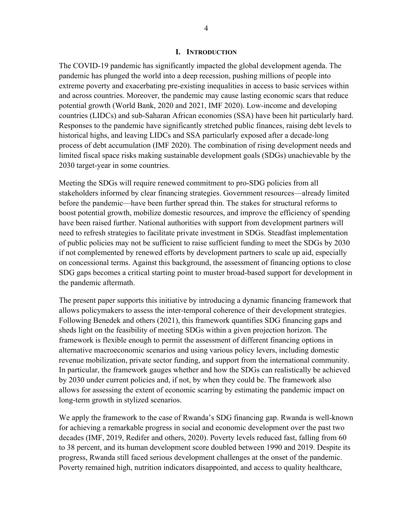## **I. INTRODUCTION**

The COVID-19 pandemic has significantly impacted the global development agenda. The pandemic has plunged the world into a deep recession, pushing millions of people into extreme poverty and exacerbating pre-existing inequalities in access to basic services within and across countries. Moreover, the pandemic may cause lasting economic scars that reduce potential growth (World Bank, 2020 and 2021, IMF 2020). Low-income and developing countries (LIDCs) and sub-Saharan African economies (SSA) have been hit particularly hard. Responses to the pandemic have significantly stretched public finances, raising debt levels to historical highs, and leaving LIDCs and SSA particularly exposed after a decade-long process of debt accumulation (IMF 2020). The combination of rising development needs and limited fiscal space risks making sustainable development goals (SDGs) unachievable by the 2030 target-year in some countries.

Meeting the SDGs will require renewed commitment to pro-SDG policies from all stakeholders informed by clear financing strategies. Government resources—already limited before the pandemic—have been further spread thin. The stakes for structural reforms to boost potential growth, mobilize domestic resources, and improve the efficiency of spending have been raised further. National authorities with support from development partners will need to refresh strategies to facilitate private investment in SDGs. Steadfast implementation of public policies may not be sufficient to raise sufficient funding to meet the SDGs by 2030 if not complemented by renewed efforts by development partners to scale up aid, especially on concessional terms. Against this background, the assessment of financing options to close SDG gaps becomes a critical starting point to muster broad-based support for development in the pandemic aftermath.

The present paper supports this initiative by introducing a dynamic financing framework that allows policymakers to assess the inter-temporal coherence of their development strategies. Following Benedek and others (2021), this framework quantifies SDG financing gaps and sheds light on the feasibility of meeting SDGs within a given projection horizon. The framework is flexible enough to permit the assessment of different financing options in alternative macroeconomic scenarios and using various policy levers, including domestic revenue mobilization, private sector funding, and support from the international community. In particular, the framework gauges whether and how the SDGs can realistically be achieved by 2030 under current policies and, if not, by when they could be. The framework also allows for assessing the extent of economic scarring by estimating the pandemic impact on long-term growth in stylized scenarios.

We apply the framework to the case of Rwanda's SDG financing gap. Rwanda is well-known for achieving a remarkable progress in social and economic development over the past two decades (IMF, 2019, Redifer and others, 2020). Poverty levels reduced fast, falling from 60 to 38 percent, and its human development score doubled between 1990 and 2019. Despite its progress, Rwanda still faced serious development challenges at the onset of the pandemic. Poverty remained high, nutrition indicators disappointed, and access to quality healthcare,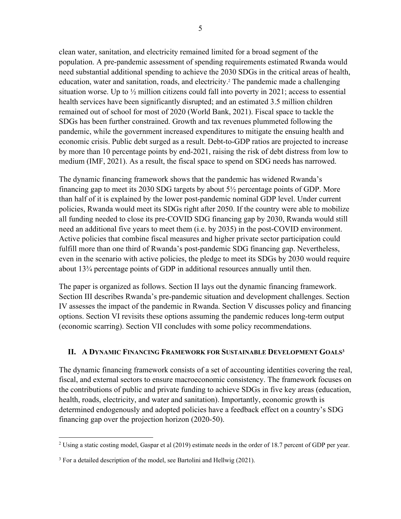clean water, sanitation, and electricity remained limited for a broad segment of the population. A pre-pandemic assessment of spending requirements estimated Rwanda would need substantial additional spending to achieve the 2030 SDGs in the critical areas of health, education, water and sanitation, roads, and electricity.<sup>2</sup> The pandemic made a challenging situation worse. Up to  $\frac{1}{2}$  million citizens could fall into poverty in 2021; access to essential health services have been significantly disrupted; and an estimated 3.5 million children remained out of school for most of 2020 (World Bank, 2021). Fiscal space to tackle the SDGs has been further constrained. Growth and tax revenues plummeted following the pandemic, while the government increased expenditures to mitigate the ensuing health and economic crisis. Public debt surged as a result. Debt-to-GDP ratios are projected to increase by more than 10 percentage points by end-2021, raising the risk of debt distress from low to medium (IMF, 2021). As a result, the fiscal space to spend on SDG needs has narrowed.

The dynamic financing framework shows that the pandemic has widened Rwanda's financing gap to meet its 2030 SDG targets by about 5½ percentage points of GDP. More than half of it is explained by the lower post-pandemic nominal GDP level. Under current policies, Rwanda would meet its SDGs right after 2050. If the country were able to mobilize all funding needed to close its pre-COVID SDG financing gap by 2030, Rwanda would still need an additional five years to meet them (i.e. by 2035) in the post-COVID environment. Active policies that combine fiscal measures and higher private sector participation could fulfill more than one third of Rwanda's post-pandemic SDG financing gap. Nevertheless, even in the scenario with active policies, the pledge to meet its SDGs by 2030 would require about 13¾ percentage points of GDP in additional resources annually until then.

The paper is organized as follows. Section II lays out the dynamic financing framework. Section III describes Rwanda's pre-pandemic situation and development challenges. Section IV assesses the impact of the pandemic in Rwanda. Section V discusses policy and financing options. Section VI revisits these options assuming the pandemic reduces long-term output (economic scarring). Section VII concludes with some policy recommendations.

## **II. A DYNAMIC FINANCING FRAMEWORK FOR SUSTAINABLE DEVELOPMENT GOALS3**

The dynamic financing framework consists of a set of accounting identities covering the real, fiscal, and external sectors to ensure macroeconomic consistency. The framework focuses on the contributions of public and private funding to achieve SDGs in five key areas (education, health, roads, electricity, and water and sanitation). Importantly, economic growth is determined endogenously and adopted policies have a feedback effect on a country's SDG financing gap over the projection horizon (2020-50).

<sup>&</sup>lt;sup>2</sup> Using a static costing model, Gaspar et al  $(2019)$  estimate needs in the order of 18.7 percent of GDP per year.

 $3$  For a detailed description of the model, see Bartolini and Hellwig (2021).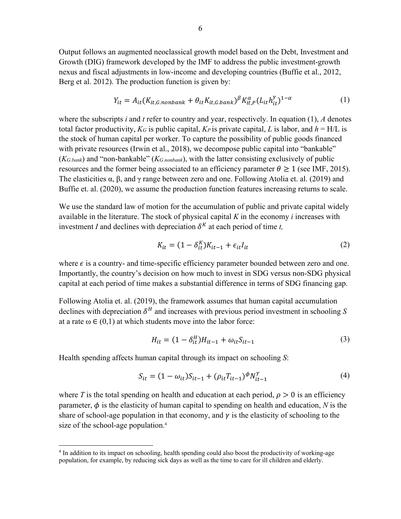Output follows an augmented neoclassical growth model based on the Debt, Investment and Growth (DIG) framework developed by the IMF to address the public investment-growth nexus and fiscal adjustments in low-income and developing countries (Buffie et al., 2012, Berg et al. 2012). The production function is given by:

$$
Y_{it} = A_{it}(K_{it,G.nonbank} + \theta_{it}K_{it,G.bank})^{\beta}K_{it,P}^{\alpha}(L_{it}h_{it}^{\gamma})^{1-\alpha}
$$
(1)

where the subscripts *i* and *t* refer to country and year, respectively. In equation (1), *A* denotes total factor productivity,  $K_G$  is public capital,  $K_P$  is private capital, L is labor, and  $h = H/L$  is the stock of human capital per worker. To capture the possibility of public goods financed with private resources (Irwin et al., 2018), we decompose public capital into "bankable" (*KG.bank*) and "non-bankable" (*KG.nonbank*), with the latter consisting exclusively of public resources and the former being associated to an efficiency parameter  $\theta \ge 1$  (see IMF, 2015). The elasticities  $\alpha$ ,  $\beta$ , and  $\gamma$  range between zero and one. Following Atolia et. al. (2019) and Buffie et. al. (2020), we assume the production function features increasing returns to scale.

We use the standard law of motion for the accumulation of public and private capital widely available in the literature. The stock of physical capital *K* in the economy *i* increases with investment *I* and declines with depreciation  $\delta^{K}$  at each period of time *t*,

$$
K_{it} = (1 - \delta_{it}^{K})K_{it-1} + \epsilon_{it}I_{it}
$$
\n<sup>(2)</sup>

where  $\epsilon$  is a country- and time-specific efficiency parameter bounded between zero and one. Importantly, the country's decision on how much to invest in SDG versus non-SDG physical capital at each period of time makes a substantial difference in terms of SDG financing gap.

Following Atolia et. al. (2019), the framework assumes that human capital accumulation declines with depreciation  $\delta^H$  and increases with previous period investment in schooling S at a rate  $\omega \in (0,1)$  at which students move into the labor force:

$$
H_{it} = (1 - \delta_{it}^H)H_{it-1} + \omega_{it}S_{it-1}
$$
\n(3)

Health spending affects human capital through its impact on schooling *S*:

$$
S_{it} = (1 - \omega_{it})S_{it-1} + (\rho_{it}T_{it-1})^{\phi}N_{it-1}^{\gamma}
$$
\n(4)

where T is the total spending on health and education at each period,  $\rho > 0$  is an efficiency parameter,  $\phi$  is the elasticity of human capital to spending on health and education, *N* is the share of school-age population in that economy, and  $\gamma$  is the elasticity of schooling to the size of the school-age population.<sup>4</sup>

<sup>&</sup>lt;sup>4</sup> In addition to its impact on schooling, health spending could also boost the productivity of working-age population, for example, by reducing sick days as well as the time to care for ill children and elderly.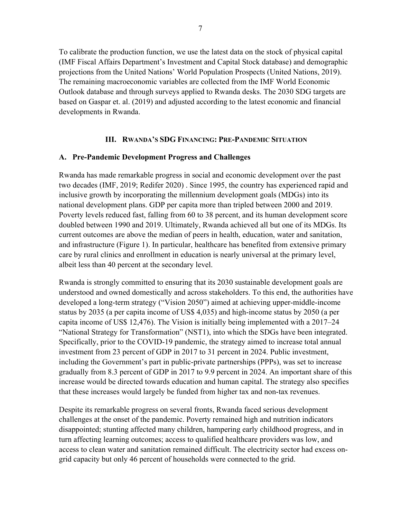To calibrate the production function, we use the latest data on the stock of physical capital (IMF Fiscal Affairs Department's Investment and Capital Stock database) and demographic projections from the United Nations' World Population Prospects (United Nations, 2019). The remaining macroeconomic variables are collected from the IMF World Economic Outlook database and through surveys applied to Rwanda desks. The 2030 SDG targets are based on Gaspar et. al. (2019) and adjusted according to the latest economic and financial developments in Rwanda.

## **III. RWANDA'S SDG FINANCING: PRE-PANDEMIC SITUATION**

## **A. Pre-Pandemic Development Progress and Challenges**

Rwanda has made remarkable progress in social and economic development over the past two decades (IMF, 2019; Redifer 2020) . Since 1995, the country has experienced rapid and inclusive growth by incorporating the millennium development goals (MDGs) into its national development plans. GDP per capita more than tripled between 2000 and 2019. Poverty levels reduced fast, falling from 60 to 38 percent, and its human development score doubled between 1990 and 2019. Ultimately, Rwanda achieved all but one of its MDGs. Its current outcomes are above the median of peers in health, education, water and sanitation, and infrastructure (Figure 1). In particular, healthcare has benefited from extensive primary care by rural clinics and enrollment in education is nearly universal at the primary level, albeit less than 40 percent at the secondary level.

Rwanda is strongly committed to ensuring that its 2030 sustainable development goals are understood and owned domestically and across stakeholders. To this end, the authorities have developed a long-term strategy ("Vision 2050") aimed at achieving upper-middle-income status by 2035 (a per capita income of US\$ 4,035) and high-income status by 2050 (a per capita income of US\$ 12,476). The Vision is initially being implemented with a 2017–24 "National Strategy for Transformation" (NST1), into which the SDGs have been integrated. Specifically, prior to the COVID-19 pandemic, the strategy aimed to increase total annual investment from 23 percent of GDP in 2017 to 31 percent in 2024. Public investment, including the Government's part in public-private partnerships (PPPs), was set to increase gradually from 8.3 percent of GDP in 2017 to 9.9 percent in 2024. An important share of this increase would be directed towards education and human capital. The strategy also specifies that these increases would largely be funded from higher tax and non-tax revenues.

Despite its remarkable progress on several fronts, Rwanda faced serious development challenges at the onset of the pandemic. Poverty remained high and nutrition indicators disappointed; stunting affected many children, hampering early childhood progress, and in turn affecting learning outcomes; access to qualified healthcare providers was low, and access to clean water and sanitation remained difficult. The electricity sector had excess ongrid capacity but only 46 percent of households were connected to the grid.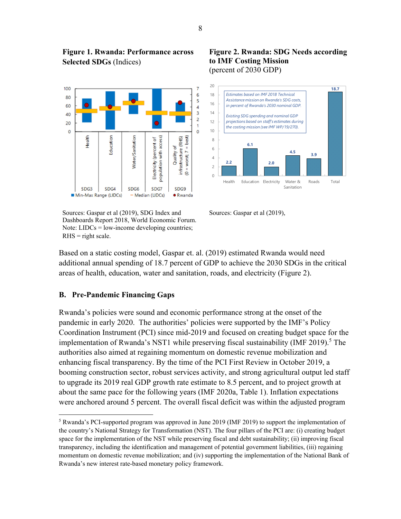

**Figure 1. Rwanda: Performance across** 

**Selected SDGs** (Indices)

Sources: Gaspar et al (2019), SDG Index and Dashboards Report 2018, World Economic Forum. Note:  $LIDCs = low-income developing countries;$  $R$ HS = right scale.





Sources: Gaspar et al (2019),

Based on a static costing model, Gaspar et. al. (2019) estimated Rwanda would need additional annual spending of 18.7 percent of GDP to achieve the 2030 SDGs in the critical areas of health, education, water and sanitation, roads, and electricity (Figure 2).

## **B. Pre-Pandemic Financing Gaps**

Rwanda's policies were sound and economic performance strong at the onset of the pandemic in early 2020. The authorities' policies were supported by the IMF's Policy Coordination Instrument (PCI) since mid-2019 and focused on creating budget space for the implementation of Rwanda's NST1 while preserving fiscal sustainability (IMF 2019).<sup>5</sup> The authorities also aimed at regaining momentum on domestic revenue mobilization and enhancing fiscal transparency. By the time of the PCI First Review in October 2019, a booming construction sector, robust services activity, and strong agricultural output led staff to upgrade its 2019 real GDP growth rate estimate to 8.5 percent, and to project growth at about the same pace for the following years (IMF 2020a, Table 1). Inflation expectations were anchored around 5 percent. The overall fiscal deficit was within the adjusted program

<sup>&</sup>lt;sup>5</sup> Rwanda's PCI-supported program was approved in June 2019 (IMF 2019) to support the implementation of the country's National Strategy for Transformation (NST). The four pillars of the PCI are: (i) creating budget space for the implementation of the NST while preserving fiscal and debt sustainability; (ii) improving fiscal transparency, including the identification and management of potential government liabilities, (iii) regaining momentum on domestic revenue mobilization; and (iv) supporting the implementation of the National Bank of Rwanda's new interest rate-based monetary policy framework.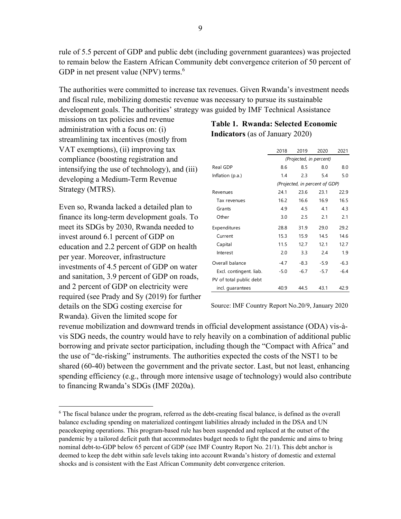rule of 5.5 percent of GDP and public debt (including government guarantees) was projected to remain below the Eastern African Community debt convergence criterion of 50 percent of GDP in net present value (NPV) terms. $6$ 

The authorities were committed to increase tax revenues. Given Rwanda's investment needs and fiscal rule, mobilizing domestic revenue was necessary to pursue its sustainable development goals. The authorities' strategy was guided by IMF Technical Assistance

missions on tax policies and revenue administration with a focus on: (i) streamlining tax incentives (mostly from VAT exemptions), (ii) improving tax compliance (boosting registration and intensifying the use of technology), and (iii) developing a Medium-Term Revenue Strategy (MTRS).

Even so, Rwanda lacked a detailed plan to finance its long-term development goals. To meet its SDGs by 2030, Rwanda needed to invest around 6.1 percent of GDP on education and 2.2 percent of GDP on health per year. Moreover, infrastructure investments of 4.5 percent of GDP on water and sanitation, 3.9 percent of GDP on roads, and 2 percent of GDP on electricity were required (see Prady and Sy (2019) for further details on the SDG costing exercise for Rwanda). Given the limited scope for

## **Table 1. Rwanda: Selected Economic Indicators** (as of January 2020)

|                         | 2018                           | 2019   | 2020   | 2021   |  |  |  |  |
|-------------------------|--------------------------------|--------|--------|--------|--|--|--|--|
|                         | (Projected, in percent)        |        |        |        |  |  |  |  |
| Real GDP                | 8.6                            | 8.5    | 8.0    | 8.0    |  |  |  |  |
| Inflation (p.a.)        | 1.4                            | 2.3    | 5.4    | 5.0    |  |  |  |  |
|                         | (Projected, in percent of GDP) |        |        |        |  |  |  |  |
| Revenues                | 241                            | 23.6   | 23.1   | 22.9   |  |  |  |  |
| Tax revenues            | 16.2                           | 16.6   | 16.9   | 16.5   |  |  |  |  |
| Grants                  | 4.9                            | 4.5    | 4.1    | 4.3    |  |  |  |  |
| Other                   | 3.0                            | 2.5    | 2.1    | 2.1    |  |  |  |  |
| Expenditures            | 28.8                           | 31.9   | 29.0   | 29.2   |  |  |  |  |
| Current                 | 15.3                           | 15.9   | 14.5   | 14.6   |  |  |  |  |
| Capital                 | 11.5                           | 12.7   | 12.1   | 12.7   |  |  |  |  |
| Interest                | 2.0                            | 3.3    | 2.4    | 1.9    |  |  |  |  |
| Overall balance         | $-4.7$                         | $-8.3$ | $-5.9$ | $-6.3$ |  |  |  |  |
| Excl. contingent. liab. | $-5.0$                         | $-6.7$ | $-5.7$ | $-6.4$ |  |  |  |  |
| PV of total public debt |                                |        |        |        |  |  |  |  |
| incl. quarantees        | 40.9                           | 44.5   | 43.1   | 42.9   |  |  |  |  |

Source: IMF Country Report No.20/9, January 2020

revenue mobilization and downward trends in official development assistance (ODA) vis-àvis SDG needs, the country would have to rely heavily on a combination of additional public borrowing and private sector participation, including though the "Compact with Africa" and the use of "de-risking" instruments. The authorities expected the costs of the NST1 to be shared (60-40) between the government and the private sector. Last, but not least, enhancing spending efficiency (e.g., through more intensive usage of technology) would also contribute to financing Rwanda's SDGs (IMF 2020a).

<sup>&</sup>lt;sup>6</sup> The fiscal balance under the program, referred as the debt-creating fiscal balance, is defined as the overall balance excluding spending on materialized contingent liabilities already included in the DSA and UN peacekeeping operations. This program-based rule has been suspended and replaced at the outset of the pandemic by a tailored deficit path that accommodates budget needs to fight the pandemic and aims to bring nominal debt-to-GDP below 65 percent of GDP (see IMF Country Report No. 21/1). This debt anchor is deemed to keep the debt within safe levels taking into account Rwanda's history of domestic and external shocks and is consistent with the East African Community debt convergence criterion.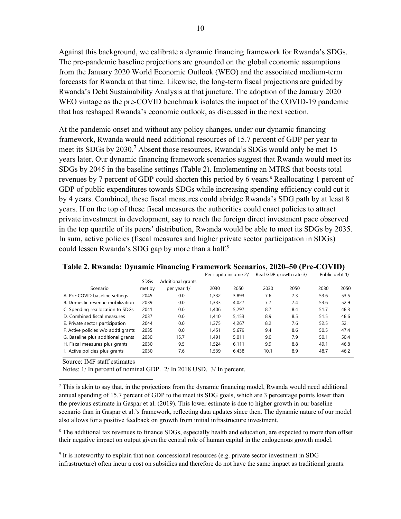Against this background, we calibrate a dynamic financing framework for Rwanda's SDGs. The pre-pandemic baseline projections are grounded on the global economic assumptions from the January 2020 World Economic Outlook (WEO) and the associated medium-term forecasts for Rwanda at that time. Likewise, the long-term fiscal projections are guided by Rwanda's Debt Sustainability Analysis at that juncture. The adoption of the January 2020 WEO vintage as the pre-COVID benchmark isolates the impact of the COVID-19 pandemic that has reshaped Rwanda's economic outlook, as discussed in the next section.

At the pandemic onset and without any policy changes, under our dynamic financing framework, Rwanda would need additional resources of 15.7 percent of GDP per year to meet its SDGs by 2030.<sup>7</sup> Absent those resources, Rwanda's SDGs would only be met 15 years later. Our dynamic financing framework scenarios suggest that Rwanda would meet its SDGs by 2045 in the baseline settings (Table 2). Implementing an MTRS that boosts total revenues by 7 percent of GDP could shorten this period by 6 years.<sup>8</sup> Reallocating 1 percent of GDP of public expenditures towards SDGs while increasing spending efficiency could cut it by 4 years. Combined, these fiscal measures could abridge Rwanda's SDG path by at least 8 years. If on the top of these fiscal measures the authorities could enact policies to attract private investment in development, say to reach the foreign direct investment pace observed in the top quartile of its peers' distribution, Rwanda would be able to meet its SDGs by 2035. In sum, active policies (fiscal measures and higher private sector participation in SDGs) could lessen Rwanda's SDG gap by more than a half.<sup>9</sup>

|                                     |             |                   | Per capita income 2/ |       | Real GDP growth rate 3/ |      | Public debt 1/ |      |
|-------------------------------------|-------------|-------------------|----------------------|-------|-------------------------|------|----------------|------|
|                                     | <b>SDGs</b> | Additional grants |                      |       |                         |      |                |      |
| Scenario                            | met by      | per year 1/       | 2030                 | 2050  | 2030                    | 2050 | 2030           | 2050 |
| A. Pre-COVID baseline settings      | 2045        | 0.0               | 1.332                | 3,893 | 7.6                     | 7.3  | 53.6           | 53.5 |
| B. Domestic revenue mobilization    | 2039        | 0.0               | 1.333                | 4,027 | 7.7                     | 7.4  | 53.6           | 52.9 |
| C. Spending reallocation to SDGs    | 2041        | 0.0               | 1.406                | 5,297 | 8.7                     | 8.4  | 51.7           | 48.3 |
| D. Combined fiscal measures         | 2037        | 0.0               | 1.410                | 5,153 | 8.9                     | 8.5  | 51.5           | 48.6 |
| E. Private sector participation     | 2044        | 0.0               | 1.375                | 4,267 | 8.2                     | 7.6  | 52.5           | 52.1 |
| F. Active policies w/o addtl grants | 2035        | 0.0               | 1.451                | 5.679 | 9.4                     | 8.6  | 50.5           | 47.4 |
| G. Baseline plus additional grants  | 2030        | 15.7              | 1.491                | 5,011 | 9.0                     | 7.9  | 50.1           | 50.4 |
| H. Fiscal measures plus grants      | 2030        | 9.5               | 1.524                | 6.111 | 9.9                     | 8.8  | 49.1           | 46.8 |
| I. Active policies plus grants      | 2030        | 7.6               | 1.539                | 6.438 | 10.1                    | 8.9  | 48.7           | 46.2 |

#### **Table 2. Rwanda: Dynamic Financing Framework Scenarios, 2020–50 (Pre-COVID)**

Source: IMF staff estimates

Notes: 1/ In percent of nominal GDP. 2/ In 2018 USD. 3/ In percent.

 $<sup>7</sup>$  This is akin to say that, in the projections from the dynamic financing model, Rwanda would need additional</sup> annual spending of 15.7 percent of GDP to the meet its SDG goals, which are 3 percentage points lower than the previous estimate in Gaspar et al. (2019). This lower estimate is due to higher growth in our baseline scenario than in Gaspar et al.'s framework, reflecting data updates since then. The dynamic nature of our model also allows for a positive feedback on growth from initial infrastructure investment.

<sup>8</sup> The additional tax revenues to finance SDGs, especially health and education, are expected to more than offset their negative impact on output given the central role of human capital in the endogenous growth model.

9 It is noteworthy to explain that non-concessional resources (e.g. private sector investment in SDG infrastructure) often incur a cost on subsidies and therefore do not have the same impact as traditional grants.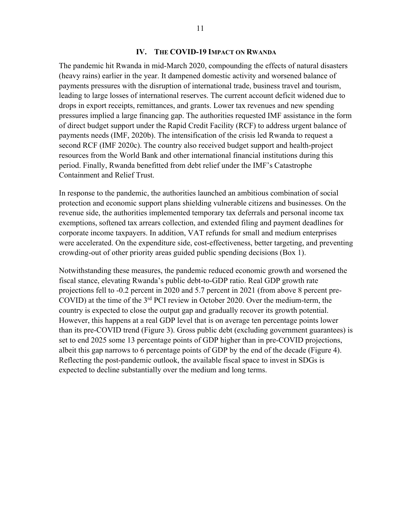## **IV. THE COVID-19 IMPACT ON RWANDA**

The pandemic hit Rwanda in mid-March 2020, compounding the effects of natural disasters (heavy rains) earlier in the year. It dampened domestic activity and worsened balance of payments pressures with the disruption of international trade, business travel and tourism, leading to large losses of international reserves. The current account deficit widened due to drops in export receipts, remittances, and grants. Lower tax revenues and new spending pressures implied a large financing gap. The authorities requested IMF assistance in the form of direct budget support under the Rapid Credit Facility (RCF) to address urgent balance of payments needs (IMF, 2020b). The intensification of the crisis led Rwanda to request a second RCF (IMF 2020c). The country also received budget support and health-project resources from the World Bank and other international financial institutions during this period. Finally, Rwanda benefitted from debt relief under the IMF's Catastrophe Containment and Relief Trust.

In response to the pandemic, the authorities launched an ambitious combination of social protection and economic support plans shielding vulnerable citizens and businesses. On the revenue side, the authorities implemented temporary tax deferrals and personal income tax exemptions, softened tax arrears collection, and extended filing and payment deadlines for corporate income taxpayers. In addition, VAT refunds for small and medium enterprises were accelerated. On the expenditure side, cost-effectiveness, better targeting, and preventing crowding-out of other priority areas guided public spending decisions (Box 1).

Notwithstanding these measures, the pandemic reduced economic growth and worsened the fiscal stance, elevating Rwanda's public debt-to-GDP ratio. Real GDP growth rate projections fell to -0.2 percent in 2020 and 5.7 percent in 2021 (from above 8 percent pre-COVID) at the time of the 3rd PCI review in October 2020. Over the medium-term, the country is expected to close the output gap and gradually recover its growth potential. However, this happens at a real GDP level that is on average ten percentage points lower than its pre-COVID trend (Figure 3). Gross public debt (excluding government guarantees) is set to end 2025 some 13 percentage points of GDP higher than in pre-COVID projections, albeit this gap narrows to 6 percentage points of GDP by the end of the decade (Figure 4). Reflecting the post-pandemic outlook, the available fiscal space to invest in SDGs is expected to decline substantially over the medium and long terms.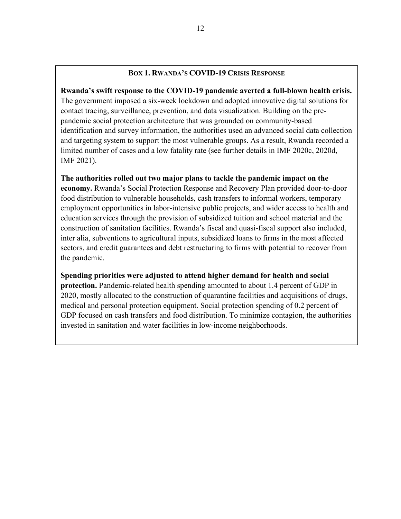## **BOX 1. RWANDA'S COVID-19 CRISIS RESPONSE**

**Rwanda's swift response to the COVID-19 pandemic averted a full-blown health crisis.** The government imposed a six-week lockdown and adopted innovative digital solutions for contact tracing, surveillance, prevention, and data visualization. Building on the prepandemic social protection architecture that was grounded on community-based identification and survey information, the authorities used an advanced social data collection and targeting system to support the most vulnerable groups. As a result, Rwanda recorded a limited number of cases and a low fatality rate (see further details in IMF 2020c, 2020d, IMF 2021).

**The authorities rolled out two major plans to tackle the pandemic impact on the economy.** Rwanda's Social Protection Response and Recovery Plan provided door-to-door food distribution to vulnerable households, cash transfers to informal workers, temporary employment opportunities in labor-intensive public projects, and wider access to health and education services through the provision of subsidized tuition and school material and the construction of sanitation facilities. Rwanda's fiscal and quasi-fiscal support also included, inter alia, subventions to agricultural inputs, subsidized loans to firms in the most affected sectors, and credit guarantees and debt restructuring to firms with potential to recover from the pandemic.

**Spending priorities were adjusted to attend higher demand for health and social protection.** Pandemic-related health spending amounted to about 1.4 percent of GDP in 2020, mostly allocated to the construction of quarantine facilities and acquisitions of drugs, medical and personal protection equipment. Social protection spending of 0.2 percent of GDP focused on cash transfers and food distribution. To minimize contagion, the authorities invested in sanitation and water facilities in low-income neighborhoods.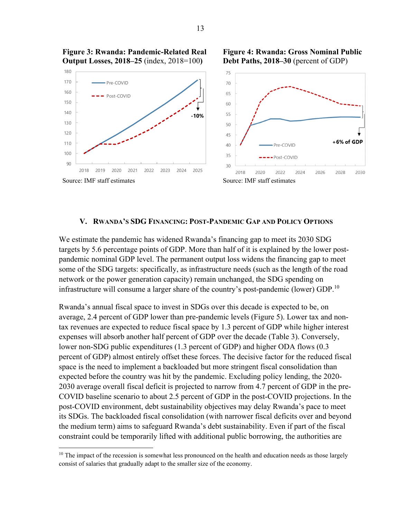

**Figure 4: Rwanda: Gross Nominal Public** 

**Figure 3: Rwanda: Pandemic-Related Real Output Losses, 2018–25** (index, 2018=100**)**

**V. RWANDA'S SDG FINANCING: POST-PANDEMIC GAP AND POLICY OPTIONS**

We estimate the pandemic has widened Rwanda's financing gap to meet its 2030 SDG targets by 5.6 percentage points of GDP. More than half of it is explained by the lower postpandemic nominal GDP level. The permanent output loss widens the financing gap to meet some of the SDG targets: specifically, as infrastructure needs (such as the length of the road network or the power generation capacity) remain unchanged, the SDG spending on infrastructure will consume a larger share of the country's post-pandemic (lower) GDP.<sup>10</sup>

Rwanda's annual fiscal space to invest in SDGs over this decade is expected to be, on average, 2.4 percent of GDP lower than pre-pandemic levels (Figure 5). Lower tax and nontax revenues are expected to reduce fiscal space by 1.3 percent of GDP while higher interest expenses will absorb another half percent of GDP over the decade (Table 3). Conversely, lower non-SDG public expenditures (1.3 percent of GDP) and higher ODA flows (0.3 percent of GDP) almost entirely offset these forces. The decisive factor for the reduced fiscal space is the need to implement a backloaded but more stringent fiscal consolidation than expected before the country was hit by the pandemic. Excluding policy lending, the 2020- 2030 average overall fiscal deficit is projected to narrow from 4.7 percent of GDP in the pre-COVID baseline scenario to about 2.5 percent of GDP in the post-COVID projections. In the post-COVID environment, debt sustainability objectives may delay Rwanda's pace to meet its SDGs. The backloaded fiscal consolidation (with narrower fiscal deficits over and beyond the medium term) aims to safeguard Rwanda's debt sustainability. Even if part of the fiscal constraint could be temporarily lifted with additional public borrowing, the authorities are

<sup>&</sup>lt;sup>10</sup> The impact of the recession is somewhat less pronounced on the health and education needs as those largely consist of salaries that gradually adapt to the smaller size of the economy.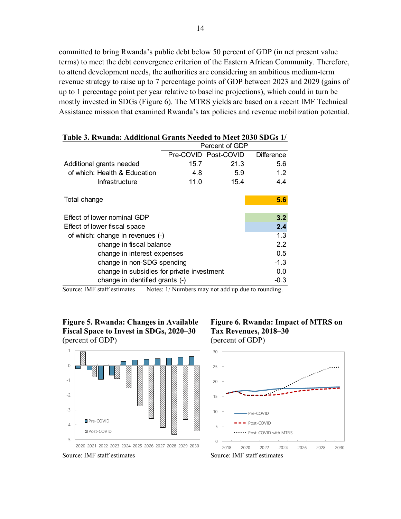committed to bring Rwanda's public debt below 50 percent of GDP (in net present value terms) to meet the debt convergence criterion of the Eastern African Community. Therefore, to attend development needs, the authorities are considering an ambitious medium-term revenue strategy to raise up to 7 percentage points of GDP between 2023 and 2029 (gains of up to 1 percentage point per year relative to baseline projections), which could in turn be mostly invested in SDGs (Figure 6). The MTRS yields are based on a recent IMF Technical Assistance mission that examined Rwanda's tax policies and revenue mobilization potential.

| Table 5. Kwaliua. Auuttioliai Grafits Neeueu to Meet 2050 SDGs 1/ |                |                      |            |  |  |  |
|-------------------------------------------------------------------|----------------|----------------------|------------|--|--|--|
|                                                                   | Percent of GDP |                      |            |  |  |  |
|                                                                   |                | Pre-COVID Post-COVID | Difference |  |  |  |
| Additional grants needed                                          | 15.7           | 21.3                 | 5.6        |  |  |  |
| of which: Health & Education                                      | 4.8            | 5.9                  | 1.2        |  |  |  |
| <b>Infrastructure</b>                                             | 11.0           | 15.4                 | 4.4        |  |  |  |
| Total change                                                      |                |                      | 5.6        |  |  |  |
| Effect of lower nominal GDP                                       |                |                      | 3.2        |  |  |  |
| Effect of lower fiscal space                                      |                |                      | 2.4        |  |  |  |
| of which: change in revenues (-)                                  | 1.3            |                      |            |  |  |  |
| change in fiscal balance                                          | 2.2            |                      |            |  |  |  |
| change in interest expenses                                       | 0.5            |                      |            |  |  |  |
| change in non-SDG spending                                        | $-1.3$         |                      |            |  |  |  |
| change in subsidies for private investment                        | 0.0            |                      |            |  |  |  |
| change in identified grants (-)                                   | $-0.3$         |                      |            |  |  |  |
|                                                                   |                |                      |            |  |  |  |

## **Table 3. Rwanda: Additional Grants Needed to Meet 2030 SDGs 1/**

Source: IMF staff estimates Notes: 1/ Numbers may not add up due to rounding.

**Figure 5. Rwanda: Changes in Available Fiscal Space to Invest in SDGs, 2020–30**  (percent of GDP)



Source: IMF staff estimates Source: IMF staff estimates

**Figure 6. Rwanda: Impact of MTRS on Tax Revenues, 2018–30**  (percent of GDP)



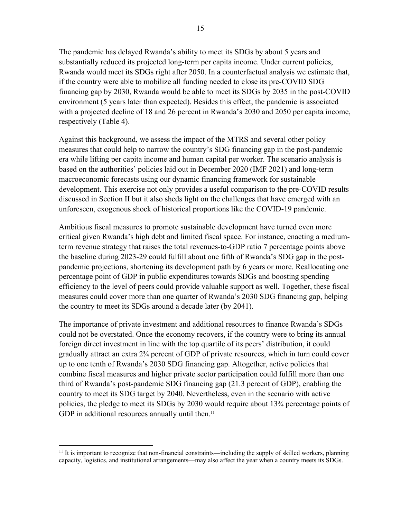15

The pandemic has delayed Rwanda's ability to meet its SDGs by about 5 years and substantially reduced its projected long-term per capita income. Under current policies, Rwanda would meet its SDGs right after 2050. In a counterfactual analysis we estimate that, if the country were able to mobilize all funding needed to close its pre-COVID SDG financing gap by 2030, Rwanda would be able to meet its SDGs by 2035 in the post-COVID environment (5 years later than expected). Besides this effect, the pandemic is associated with a projected decline of 18 and 26 percent in Rwanda's 2030 and 2050 per capita income, respectively (Table 4).

Against this background, we assess the impact of the MTRS and several other policy measures that could help to narrow the country's SDG financing gap in the post-pandemic era while lifting per capita income and human capital per worker. The scenario analysis is based on the authorities' policies laid out in December 2020 (IMF 2021) and long-term macroeconomic forecasts using our dynamic financing framework for sustainable development. This exercise not only provides a useful comparison to the pre-COVID results discussed in Section II but it also sheds light on the challenges that have emerged with an unforeseen, exogenous shock of historical proportions like the COVID-19 pandemic.

Ambitious fiscal measures to promote sustainable development have turned even more critical given Rwanda's high debt and limited fiscal space. For instance, enacting a mediumterm revenue strategy that raises the total revenues-to-GDP ratio 7 percentage points above the baseline during 2023-29 could fulfill about one fifth of Rwanda's SDG gap in the postpandemic projections, shortening its development path by 6 years or more. Reallocating one percentage point of GDP in public expenditures towards SDGs and boosting spending efficiency to the level of peers could provide valuable support as well. Together, these fiscal measures could cover more than one quarter of Rwanda's 2030 SDG financing gap, helping the country to meet its SDGs around a decade later (by 2041).

The importance of private investment and additional resources to finance Rwanda's SDGs could not be overstated. Once the economy recovers, if the country were to bring its annual foreign direct investment in line with the top quartile of its peers' distribution, it could gradually attract an extra 2¾ percent of GDP of private resources, which in turn could cover up to one tenth of Rwanda's 2030 SDG financing gap. Altogether, active policies that combine fiscal measures and higher private sector participation could fulfill more than one third of Rwanda's post-pandemic SDG financing gap (21.3 percent of GDP), enabling the country to meet its SDG target by 2040. Nevertheless, even in the scenario with active policies, the pledge to meet its SDGs by 2030 would require about 13¾ percentage points of GDP in additional resources annually until then. $11$ 

 $11$  It is important to recognize that non-financial constraints—including the supply of skilled workers, planning capacity, logistics, and institutional arrangements—may also affect the year when a country meets its SDGs.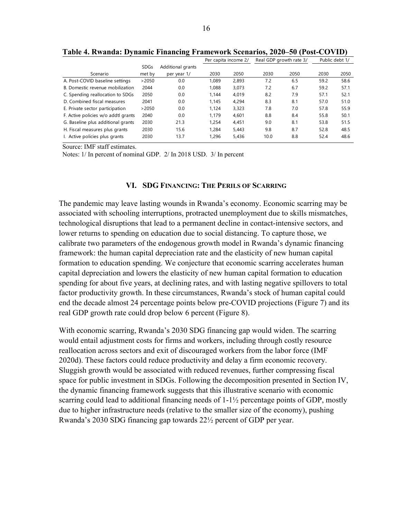|                                     |             |                   | Per capita income 2/ |       | Real GDP growth rate 3/ |      | Public debt 1/ |      |
|-------------------------------------|-------------|-------------------|----------------------|-------|-------------------------|------|----------------|------|
|                                     | <b>SDGs</b> | Additional grants |                      |       |                         |      |                |      |
| Scenario                            | met by      | per year 1/       | 2030                 | 2050  | 2030                    | 2050 | 2030           | 2050 |
| A. Post-COVID baseline settings     | >2050       | 0.0               | 1.089                | 2,893 | 7.2                     | 6.5  | 59.2           | 58.6 |
| B. Domestic revenue mobilization    | 2044        | 0.0               | 1.088                | 3.073 | 7.2                     | 6.7  | 59.2           | 57.1 |
| C. Spending reallocation to SDGs    | 2050        | 0.0               | 1.144                | 4,019 | 8.2                     | 7.9  | 57.1           | 52.1 |
| D. Combined fiscal measures         | 2041        | 0.0               | 1.145                | 4.294 | 8.3                     | 8.1  | 57.0           | 51.0 |
| E. Private sector participation     | >2050       | 0.0               | 1.124                | 3.323 | 7.8                     | 7.0  | 57.8           | 55.9 |
| F. Active policies w/o addtl grants | 2040        | 0.0               | 1.179                | 4.601 | 8.8                     | 8.4  | 55.8           | 50.1 |
| G. Baseline plus additional grants  | 2030        | 21.3              | 1.254                | 4.451 | 9.0                     | 8.1  | 53.8           | 51.5 |
| H. Fiscal measures plus grants      | 2030        | 15.6              | 1.284                | 5.443 | 9.8                     | 8.7  | 52.8           | 48.5 |
| I. Active policies plus grants      | 2030        | 13.7              | 1.296                | 5.436 | 10.0                    | 8.8  | 52.4           | 48.6 |

**Table 4. Rwanda: Dynamic Financing Framework Scenarios, 2020–50 (Post-COVID)**

Source: IMF staff estimates.

Notes: 1/ In percent of nominal GDP. 2/ In 2018 USD. 3/ In percent

#### **VI. SDG FINANCING: THE PERILS OF SCARRING**

The pandemic may leave lasting wounds in Rwanda's economy. Economic scarring may be associated with schooling interruptions, protracted unemployment due to skills mismatches, technological disruptions that lead to a permanent decline in contact-intensive sectors, and lower returns to spending on education due to social distancing. To capture those, we calibrate two parameters of the endogenous growth model in Rwanda's dynamic financing framework: the human capital depreciation rate and the elasticity of new human capital formation to education spending. We conjecture that economic scarring accelerates human capital depreciation and lowers the elasticity of new human capital formation to education spending for about five years, at declining rates, and with lasting negative spillovers to total factor productivity growth. In these circumstances, Rwanda's stock of human capital could end the decade almost 24 percentage points below pre-COVID projections (Figure 7) and its real GDP growth rate could drop below 6 percent (Figure 8).

With economic scarring, Rwanda's 2030 SDG financing gap would widen. The scarring would entail adjustment costs for firms and workers, including through costly resource reallocation across sectors and exit of discouraged workers from the labor force (IMF 2020d). These factors could reduce productivity and delay a firm economic recovery. Sluggish growth would be associated with reduced revenues, further compressing fiscal space for public investment in SDGs. Following the decomposition presented in Section IV, the dynamic financing framework suggests that this illustrative scenario with economic scarring could lead to additional financing needs of 1-1½ percentage points of GDP, mostly due to higher infrastructure needs (relative to the smaller size of the economy), pushing Rwanda's 2030 SDG financing gap towards 22½ percent of GDP per year.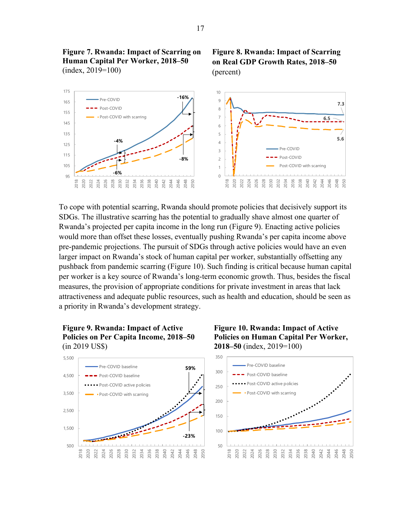

To cope with potential scarring, Rwanda should promote policies that decisively support its SDGs. The illustrative scarring has the potential to gradually shave almost one quarter of Rwanda's projected per capita income in the long run (Figure 9). Enacting active policies would more than offset these losses, eventually pushing Rwanda's per capita income above pre-pandemic projections. The pursuit of SDGs through active policies would have an even larger impact on Rwanda's stock of human capital per worker, substantially offsetting any pushback from pandemic scarring (Figure 10). Such finding is critical because human capital per worker is a key source of Rwanda's long-term economic growth. Thus, besides the fiscal measures, the provision of appropriate conditions for private investment in areas that lack attractiveness and adequate public resources, such as health and education, should be seen as a priority in Rwanda's development strategy.

## **Figure 9. Rwanda: Impact of Active Policies on Per Capita Income, 2018–50**  (in 2019 US\$)



## **Figure 10. Rwanda: Impact of Active Policies on Human Capital Per Worker, 2018–50** (index, 2019=100)



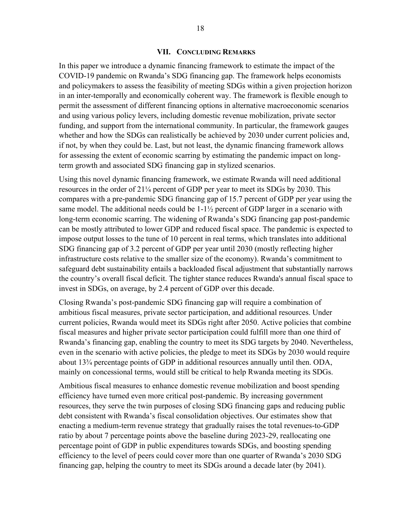#### **VII. CONCLUDING REMARKS**

In this paper we introduce a dynamic financing framework to estimate the impact of the COVID-19 pandemic on Rwanda's SDG financing gap. The framework helps economists and policymakers to assess the feasibility of meeting SDGs within a given projection horizon in an inter-temporally and economically coherent way. The framework is flexible enough to permit the assessment of different financing options in alternative macroeconomic scenarios and using various policy levers, including domestic revenue mobilization, private sector funding, and support from the international community. In particular, the framework gauges whether and how the SDGs can realistically be achieved by 2030 under current policies and, if not, by when they could be. Last, but not least, the dynamic financing framework allows for assessing the extent of economic scarring by estimating the pandemic impact on longterm growth and associated SDG financing gap in stylized scenarios.

Using this novel dynamic financing framework, we estimate Rwanda will need additional resources in the order of 21¼ percent of GDP per year to meet its SDGs by 2030. This compares with a pre-pandemic SDG financing gap of 15.7 percent of GDP per year using the same model. The additional needs could be 1-1½ percent of GDP larger in a scenario with long-term economic scarring. The widening of Rwanda's SDG financing gap post-pandemic can be mostly attributed to lower GDP and reduced fiscal space. The pandemic is expected to impose output losses to the tune of 10 percent in real terms, which translates into additional SDG financing gap of 3.2 percent of GDP per year until 2030 (mostly reflecting higher infrastructure costs relative to the smaller size of the economy). Rwanda's commitment to safeguard debt sustainability entails a backloaded fiscal adjustment that substantially narrows the country's overall fiscal deficit. The tighter stance reduces Rwanda's annual fiscal space to invest in SDGs, on average, by 2.4 percent of GDP over this decade.

Closing Rwanda's post-pandemic SDG financing gap will require a combination of ambitious fiscal measures, private sector participation, and additional resources. Under current policies, Rwanda would meet its SDGs right after 2050. Active policies that combine fiscal measures and higher private sector participation could fulfill more than one third of Rwanda's financing gap, enabling the country to meet its SDG targets by 2040. Nevertheless, even in the scenario with active policies, the pledge to meet its SDGs by 2030 would require about 13¾ percentage points of GDP in additional resources annually until then. ODA, mainly on concessional terms, would still be critical to help Rwanda meeting its SDGs.

Ambitious fiscal measures to enhance domestic revenue mobilization and boost spending efficiency have turned even more critical post-pandemic. By increasing government resources, they serve the twin purposes of closing SDG financing gaps and reducing public debt consistent with Rwanda's fiscal consolidation objectives. Our estimates show that enacting a medium-term revenue strategy that gradually raises the total revenues-to-GDP ratio by about 7 percentage points above the baseline during 2023-29, reallocating one percentage point of GDP in public expenditures towards SDGs, and boosting spending efficiency to the level of peers could cover more than one quarter of Rwanda's 2030 SDG financing gap, helping the country to meet its SDGs around a decade later (by 2041).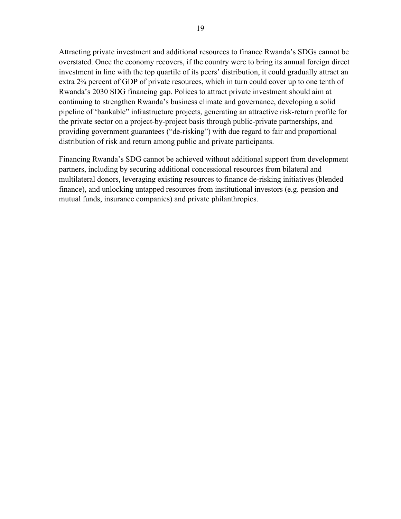Attracting private investment and additional resources to finance Rwanda's SDGs cannot be overstated. Once the economy recovers, if the country were to bring its annual foreign direct investment in line with the top quartile of its peers' distribution, it could gradually attract an extra 2¾ percent of GDP of private resources, which in turn could cover up to one tenth of Rwanda's 2030 SDG financing gap. Polices to attract private investment should aim at continuing to strengthen Rwanda's business climate and governance, developing a solid pipeline of 'bankable" infrastructure projects, generating an attractive risk-return profile for the private sector on a project-by-project basis through public-private partnerships, and providing government guarantees ("de-risking") with due regard to fair and proportional distribution of risk and return among public and private participants.

Financing Rwanda's SDG cannot be achieved without additional support from development partners, including by securing additional concessional resources from bilateral and multilateral donors, leveraging existing resources to finance de-risking initiatives (blended finance), and unlocking untapped resources from institutional investors (e.g. pension and mutual funds, insurance companies) and private philanthropies.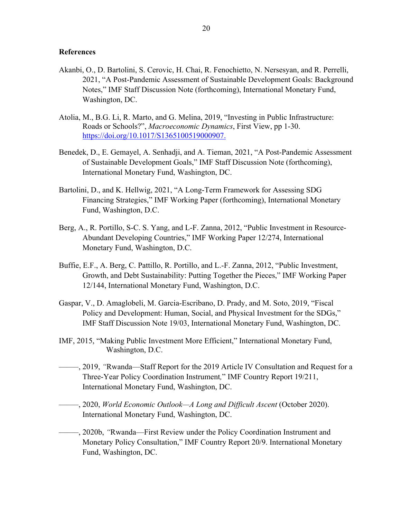## **References**

- Akanbi, O., D. Bartolini, S. Cerovic, H. Chai, R. Fenochietto, N. Nersesyan, and R. Perrelli, 2021, "A Post-Pandemic Assessment of Sustainable Development Goals: Background Notes," IMF Staff Discussion Note (forthcoming), International Monetary Fund, Washington, DC.
- Atolia, M., B.G. Li, R. Marto, and G. Melina, 2019, "Investing in Public Infrastructure: Roads or Schools?", *Macroeconomic Dynamics*, First View, pp 1-30. https://doi.org/10.1017/S1365100519000907.
- Benedek, D., E. Gemayel, A. Senhadji, and A. Tieman, 2021, "A Post-Pandemic Assessment of Sustainable Development Goals," IMF Staff Discussion Note (forthcoming), International Monetary Fund, Washington, DC.
- Bartolini, D., and K. Hellwig, 2021, "A Long-Term Framework for Assessing SDG Financing Strategies," IMF Working Paper (forthcoming), International Monetary Fund, Washington, D.C.
- Berg, A., R. Portillo, S-C. S. Yang, and L-F. Zanna, 2012, "Public Investment in Resource-Abundant Developing Countries," IMF Working Paper 12/274, International Monetary Fund, Washington, D.C.
- Buffie, E.F., A. Berg, C. Pattillo, R. Portillo, and L.-F. Zanna, 2012, "Public Investment, Growth, and Debt Sustainability: Putting Together the Pieces," IMF Working Paper 12/144, International Monetary Fund, Washington, D.C.
- Gaspar, V., D. Amaglobeli, M. Garcia-Escribano, D. Prady, and M. Soto, 2019, "Fiscal Policy and Development: Human, Social, and Physical Investment for the SDGs," IMF Staff Discussion Note 19/03, International Monetary Fund, Washington, DC.
- IMF, 2015, "Making Public Investment More Efficient," International Monetary Fund, Washington, D.C.
- –––––, 2019, *"*Rwanda—Staff Report for the 2019 Article IV Consultation and Request for a Three-Year Policy Coordination Instrument*,*" IMF Country Report 19/211, International Monetary Fund, Washington, DC.
- –––––, 2020, *World Economic Outlook—A Long and Difficult Ascent* (October 2020). International Monetary Fund, Washington, DC.
- –––––, 2020b, *"*Rwanda—First Review under the Policy Coordination Instrument and Monetary Policy Consultation," IMF Country Report 20/9. International Monetary Fund, Washington, DC.